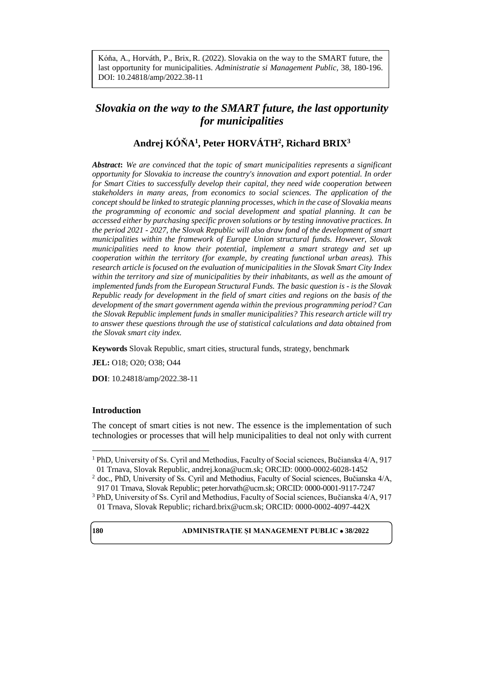Kóňa, A., Horváth, P., Brix, R. (2022). Slovakia on the way to the SMART future, the last opportunity for municipalities. *Administratie si Management Public*, 38, 180-196. DOI: 10.24818/amp/2022.38-11

# *Slovakia on the way to the SMART future, the last opportunity for municipalities*

# **Andrej KÓŇA<sup>1</sup> , Peter HORVÁTH<sup>2</sup> , Richard BRIX<sup>3</sup>**

*Abstract***:** *We are convinced that the topic of smart municipalities represents a significant opportunity for Slovakia to increase the country's innovation and export potential. In order for Smart Cities to successfully develop their capital, they need wide cooperation between stakeholders in many areas, from economics to social sciences. The application of the concept should be linked to strategic planning processes, which in the case of Slovakia means the programming of economic and social development and spatial planning. It can be accessed either by purchasing specific proven solutions or by testing innovative practices. In the period 2021 - 2027, the Slovak Republic will also draw fond of the development of smart municipalities within the framework of Europe Union structural funds. However, Slovak municipalities need to know their potential, implement a smart strategy and set up cooperation within the territory (for example, by creating functional urban areas). This research article is focused on the evaluation of municipalities in the Slovak Smart City Index within the territory and size of municipalities by their inhabitants, as well as the amount of implemented funds from the European Structural Funds. The basic question is - is the Slovak Republic ready for development in the field of smart cities and regions on the basis of the development of the smart government agenda within the previous programming period? Can the Slovak Republic implement funds in smaller municipalities? This research article will try to answer these questions through the use of statistical calculations and data obtained from the Slovak smart city index.*

**Keywords** Slovak Republic, smart cities, structural funds, strategy, benchmark

**JEL:** O18; O20; O38; O44

**DOI**: 10.24818/amp/2022.38-11

#### **Introduction**

The concept of smart cities is not new. The essence is the implementation of such technologies or processes that will help municipalities to deal not only with current

 $\overline{a}$ 

<sup>&</sup>lt;sup>1</sup> PhD, University of Ss. Cyril and Methodius, Faculty of Social sciences, Bučianska 4/A, 917 01 Trnava, Slovak Republic, andrej.kona@ucm.sk; ORCID: 0000-0002-6028-1452

<sup>&</sup>lt;sup>2</sup> doc., PhD, University of Ss. Cyril and Methodius, Faculty of Social sciences, Bučianska 4/A, 917 01 Trnava, Slovak Republic; peter.horvath@ucm.sk; ORCID: 0000-0001-9117-7247

<sup>3</sup> PhD, University of Ss. Cyril and Methodius, Faculty of Social sciences, Bučianska 4/A, 917 01 Trnava, Slovak Republic; richard.brix@ucm.sk; ORCID: 0000-0002-4097-442X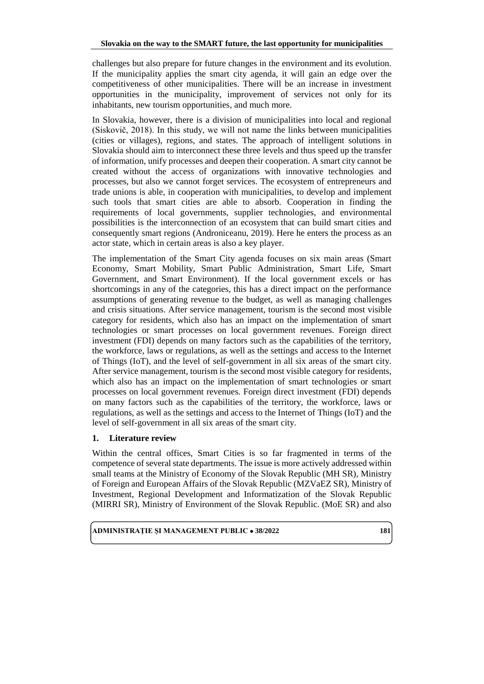challenges but also prepare for future changes in the environment and its evolution. If the municipality applies the smart city agenda, it will gain an edge over the competitiveness of other municipalities. There will be an increase in investment opportunities in the municipality, improvement of services not only for its inhabitants, new tourism opportunities, and much more.

In Slovakia, however, there is a division of municipalities into local and regional (Siskovič, 2018). In this study, we will not name the links between municipalities (cities or villages), regions, and states. The approach of intelligent solutions in Slovakia should aim to interconnect these three levels and thus speed up the transfer of information, unify processes and deepen their cooperation. A smart city cannot be created without the access of organizations with innovative technologies and processes, but also we cannot forget services. The ecosystem of entrepreneurs and trade unions is able, in cooperation with municipalities, to develop and implement such tools that smart cities are able to absorb. Cooperation in finding the requirements of local governments, supplier technologies, and environmental possibilities is the interconnection of an ecosystem that can build smart cities and consequently smart regions (Androniceanu, 2019). Here he enters the process as an actor state, which in certain areas is also a key player.

The implementation of the Smart City agenda focuses on six main areas (Smart Economy, Smart Mobility, Smart Public Administration, Smart Life, Smart Government, and Smart Environment). If the local government excels or has shortcomings in any of the categories, this has a direct impact on the performance assumptions of generating revenue to the budget, as well as managing challenges and crisis situations. After service management, tourism is the second most visible category for residents, which also has an impact on the implementation of smart technologies or smart processes on local government revenues. Foreign direct investment (FDI) depends on many factors such as the capabilities of the territory, the workforce, laws or regulations, as well as the settings and access to the Internet of Things (IoT), and the level of self-government in all six areas of the smart city. After service management, tourism is the second most visible category for residents, which also has an impact on the implementation of smart technologies or smart processes on local government revenues. Foreign direct investment (FDI) depends on many factors such as the capabilities of the territory, the workforce, laws or regulations, as well as the settings and access to the Internet of Things (IoT) and the level of self-government in all six areas of the smart city.

# **1. Literature review**

Within the central offices, Smart Cities is so far fragmented in terms of the competence of several state departments. The issue is more actively addressed within small teams at the Ministry of Economy of the Slovak Republic (MH SR), Ministry of Foreign and European Affairs of the Slovak Republic (MZVaEZ SR), Ministry of Investment, Regional Development and Informatization of the Slovak Republic (MIRRI SR), Ministry of Environment of the Slovak Republic. (MoE SR) and also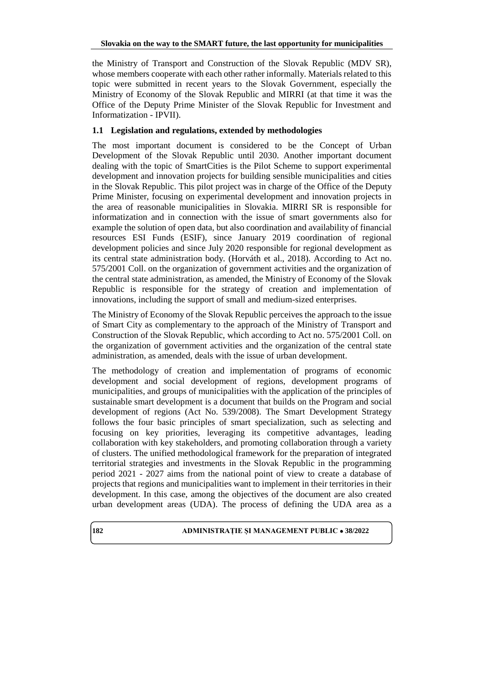the Ministry of Transport and Construction of the Slovak Republic (MDV SR), whose members cooperate with each other rather informally. Materials related to this topic were submitted in recent years to the Slovak Government, especially the Ministry of Economy of the Slovak Republic and MIRRI (at that time it was the Office of the Deputy Prime Minister of the Slovak Republic for Investment and Informatization - IPVII).

# **1.1 Legislation and regulations, extended by methodologies**

The most important document is considered to be the Concept of Urban Development of the Slovak Republic until 2030. Another important document dealing with the topic of SmartCities is the Pilot Scheme to support experimental development and innovation projects for building sensible municipalities and cities in the Slovak Republic. This pilot project was in charge of the Office of the Deputy Prime Minister, focusing on experimental development and innovation projects in the area of reasonable municipalities in Slovakia. MIRRI SR is responsible for informatization and in connection with the issue of smart governments also for example the solution of open data, but also coordination and availability of financial resources ESI Funds (ESIF), since January 2019 coordination of regional development policies and since July 2020 responsible for regional development as its central state administration body. (Horváth et al., 2018). According to Act no. 575/2001 Coll. on the organization of government activities and the organization of the central state administration, as amended, the Ministry of Economy of the Slovak Republic is responsible for the strategy of creation and implementation of innovations, including the support of small and medium-sized enterprises.

The Ministry of Economy of the Slovak Republic perceives the approach to the issue of Smart City as complementary to the approach of the Ministry of Transport and Construction of the Slovak Republic, which according to Act no. 575/2001 Coll. on the organization of government activities and the organization of the central state administration, as amended, deals with the issue of urban development.

The methodology of creation and implementation of programs of economic development and social development of regions, development programs of municipalities, and groups of municipalities with the application of the principles of sustainable smart development is a document that builds on the Program and social development of regions (Act No. 539/2008). The Smart Development Strategy follows the four basic principles of smart specialization, such as selecting and focusing on key priorities, leveraging its competitive advantages, leading collaboration with key stakeholders, and promoting collaboration through a variety of clusters. The unified methodological framework for the preparation of integrated territorial strategies and investments in the Slovak Republic in the programming period 2021 - 2027 aims from the national point of view to create a database of projects that regions and municipalities want to implement in their territories in their development. In this case, among the objectives of the document are also created urban development areas (UDA). The process of defining the UDA area as a

# **182 ADMINISTRATIE ȘI MANAGEMENT PUBLIC**  $\bullet$  **38/2022**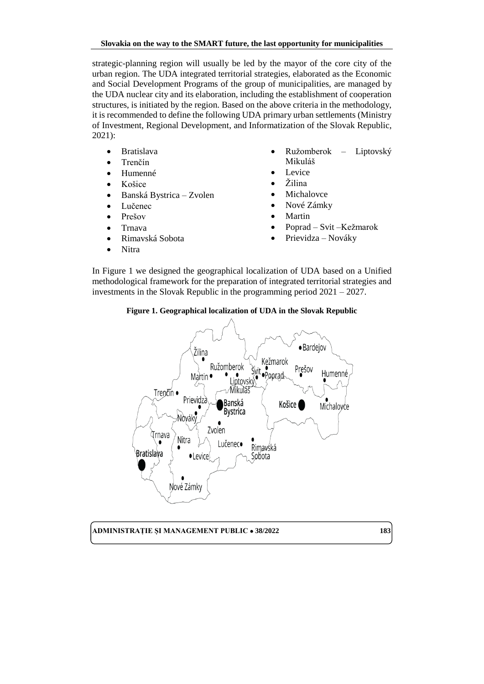strategic-planning region will usually be led by the mayor of the core city of the urban region. The UDA integrated territorial strategies, elaborated as the Economic and Social Development Programs of the group of municipalities, are managed by the UDA nuclear city and its elaboration, including the establishment of cooperation structures, is initiated by the region. Based on the above criteria in the methodology, it is recommended to define the following UDA primary urban settlements (Ministry of Investment, Regional Development, and Informatization of the Slovak Republic, 2021):

- Bratislava
- Trenčín
- Humenné
- Košice
- Banská Bystrica Zvolen
- Lučenec
- Prešov
- Trnava
- Rimavská Sobota
- Nitra
- Ružomberok Liptovský Mikuláš
- Levice
- Žilina
- Michalovce
- Nové Zámky
- Martin
- Poprad Svit –Kežmarok
- Prievidza Nováky

In Figure 1 we designed the geographical localization of UDA based on a Unified methodological framework for the preparation of integrated territorial strategies and investments in the Slovak Republic in the programming period 2021 – 2027.

# **Figure 1. Geographical localization of UDA in the Slovak Republic**

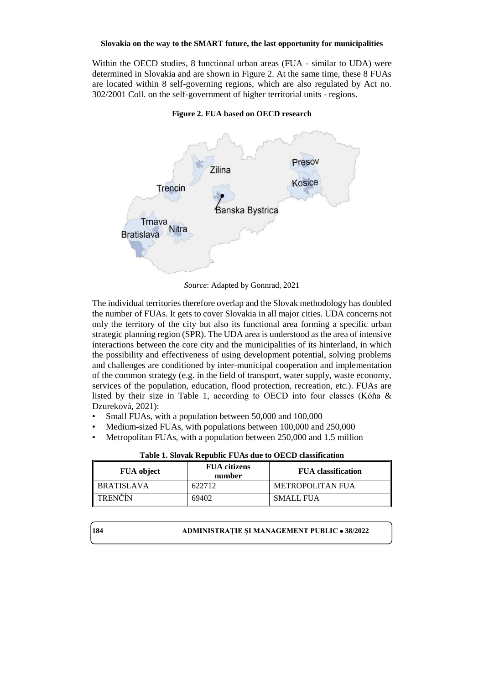Within the OECD studies, 8 functional urban areas (FUA - similar to UDA) were determined in Slovakia and are shown in Figure 2. At the same time, these 8 FUAs are located within 8 self-governing regions, which are also regulated by Act no. 302/2001 Coll. on the self-government of higher territorial units - regions.



**Figure 2. FUA based on OECD research**

*Source*: Adapted by Gonnrad, 2021

The individual territories therefore overlap and the Slovak methodology has doubled the number of FUAs. It gets to cover Slovakia in all major cities. UDA concerns not only the territory of the city but also its functional area forming a specific urban strategic planning region (SPR). The UDA area is understood as the area of intensive interactions between the core city and the municipalities of its hinterland, in which the possibility and effectiveness of using development potential, solving problems and challenges are conditioned by inter-municipal cooperation and implementation of the common strategy (e.g. in the field of transport, water supply, waste economy, services of the population, education, flood protection, recreation, etc.). FUAs are listed by their size in Table 1, according to OECD into four classes (Kóňa & Dzureková, 2021):

- Small FUAs, with a population between 50,000 and 100,000
- Medium-sized FUAs, with populations between 100,000 and 250,000
- Metropolitan FUAs, with a population between 250,000 and 1.5 million

| <b>FUA</b> object | <b>FUA</b> citizens<br>number | <b>FUA</b> classification |
|-------------------|-------------------------------|---------------------------|
| <b>BRATISLAVA</b> | 622712                        | METROPOLITAN FUA          |
| TRENČÍN           | 69402                         | <b>SMALL FUA</b>          |

**Table 1. Slovak Republic FUAs due to OECD classification**

**184 ADMINISTRAȚIE ȘI MANAGEMENT PUBLIC**  $\bullet$  **38/2022**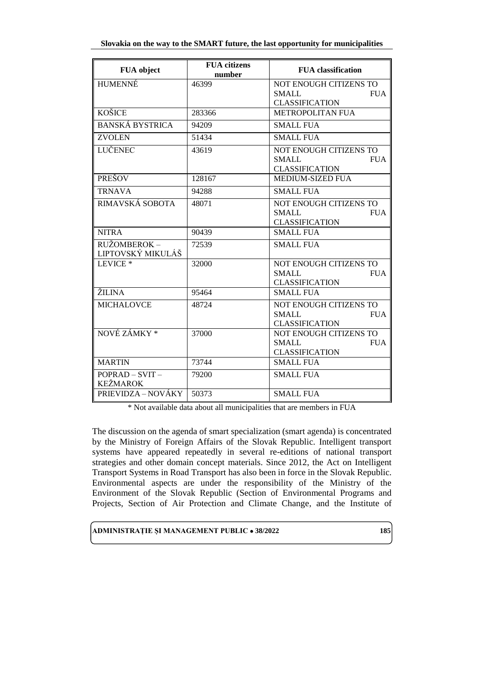|  | Slovakia on the way to the SMART future, the last opportunity for municipalities |  |  |
|--|----------------------------------------------------------------------------------|--|--|
|  |                                                                                  |  |  |

| FUA object              | <b>FUA</b> citizens<br>number | <b>FUA</b> classification  |
|-------------------------|-------------------------------|----------------------------|
| <b>HUMENNÉ</b>          | 46399                         | NOT ENOUGH CITIZENS TO     |
|                         |                               | <b>SMALL</b><br><b>FUA</b> |
|                         |                               | <b>CLASSIFICATION</b>      |
| <b>KOŠICE</b>           | 283366                        | <b>METROPOLITAN FUA</b>    |
| <b>BANSKÁ BYSTRICA</b>  | 94209                         | <b>SMALL FUA</b>           |
| <b>ZVOLEN</b>           | 51434                         | <b>SMALL FUA</b>           |
| LUČENEC                 | 43619                         | NOT ENOUGH CITIZENS TO     |
|                         |                               | <b>SMALL</b><br><b>FUA</b> |
|                         |                               | <b>CLASSIFICATION</b>      |
| <b>PREŠOV</b>           | 128167                        | MEDIUM-SIZED FUA           |
| <b>TRNAVA</b>           | 94288                         | <b>SMALL FUA</b>           |
| RIMAVSKÁ SOBOTA         | 48071                         | NOT ENOUGH CITIZENS TO     |
|                         |                               | <b>SMALL</b><br><b>FUA</b> |
|                         |                               | <b>CLASSIFICATION</b>      |
| <b>NITRA</b>            | 90439                         | <b>SMALL FUA</b>           |
| RUŽOMBEROK -            | 72539                         | <b>SMALL FUA</b>           |
| LIPTOVSKÝ MIKULÁŠ       |                               |                            |
| LEVICE <sup>*</sup>     | 32000                         | NOT ENOUGH CITIZENS TO     |
|                         |                               | <b>SMALL</b><br><b>FUA</b> |
|                         |                               | <b>CLASSIFICATION</b>      |
| ŽILINA                  | 95464                         | <b>SMALL FUA</b>           |
| <b>MICHALOVCE</b>       | 48724                         | NOT ENOUGH CITIZENS TO     |
|                         |                               | <b>SMALL</b><br><b>FUA</b> |
|                         |                               | <b>CLASSIFICATION</b>      |
| NOVÉ ZÁMKY <sup>*</sup> | 37000                         | NOT ENOUGH CITIZENS TO     |
|                         |                               | <b>SMALL</b><br><b>FUA</b> |
|                         |                               | <b>CLASSIFICATION</b>      |
| <b>MARTIN</b>           | 73744                         | <b>SMALL FUA</b>           |
| $POPRAD - SVIT -$       | 79200                         | <b>SMALL FUA</b>           |
| <b>KEŽMAROK</b>         |                               |                            |
| PRIEVIDZA – NOVÁKY      | 50373                         | <b>SMALL FUA</b>           |

\* Not available data about all municipalities that are members in FUA

The discussion on the agenda of smart specialization (smart agenda) is concentrated by the Ministry of Foreign Affairs of the Slovak Republic. Intelligent transport systems have appeared repeatedly in several re-editions of national transport strategies and other domain concept materials. Since 2012, the Act on Intelligent Transport Systems in Road Transport has also been in force in the Slovak Republic. Environmental aspects are under the responsibility of the Ministry of the Environment of the Slovak Republic (Section of Environmental Programs and Projects, Section of Air Protection and Climate Change, and the Institute of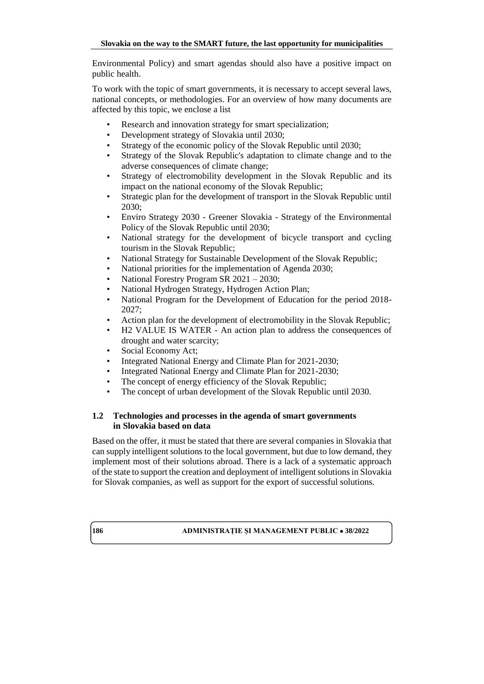Environmental Policy) and smart agendas should also have a positive impact on public health.

To work with the topic of smart governments, it is necessary to accept several laws, national concepts, or methodologies. For an overview of how many documents are affected by this topic, we enclose a list

- Research and innovation strategy for smart specialization;
- Development strategy of Slovakia until 2030;
- Strategy of the economic policy of the Slovak Republic until 2030;
- Strategy of the Slovak Republic's adaptation to climate change and to the adverse consequences of climate change;
- Strategy of electromobility development in the Slovak Republic and its impact on the national economy of the Slovak Republic;
- Strategic plan for the development of transport in the Slovak Republic until 2030;
- Enviro Strategy 2030 Greener Slovakia Strategy of the Environmental Policy of the Slovak Republic until 2030;
- National strategy for the development of bicycle transport and cycling tourism in the Slovak Republic;
- National Strategy for Sustainable Development of the Slovak Republic;
- National priorities for the implementation of Agenda 2030;
- National Forestry Program SR 2021 2030;
- National Hydrogen Strategy, Hydrogen Action Plan;
- National Program for the Development of Education for the period 2018- 2027;
- Action plan for the development of electromobility in the Slovak Republic;
- H2 VALUE IS WATER An action plan to address the consequences of drought and water scarcity;
- Social Economy Act;
- Integrated National Energy and Climate Plan for 2021-2030;
- Integrated National Energy and Climate Plan for 2021-2030;
- The concept of energy efficiency of the Slovak Republic;
- The concept of urban development of the Slovak Republic until 2030.

# **1.2 Technologies and processes in the agenda of smart governments in Slovakia based on data**

Based on the offer, it must be stated that there are several companies in Slovakia that can supply intelligent solutions to the local government, but due to low demand, they implement most of their solutions abroad. There is a lack of a systematic approach of the state to support the creation and deployment of intelligent solutions in Slovakia for Slovak companies, as well as support for the export of successful solutions.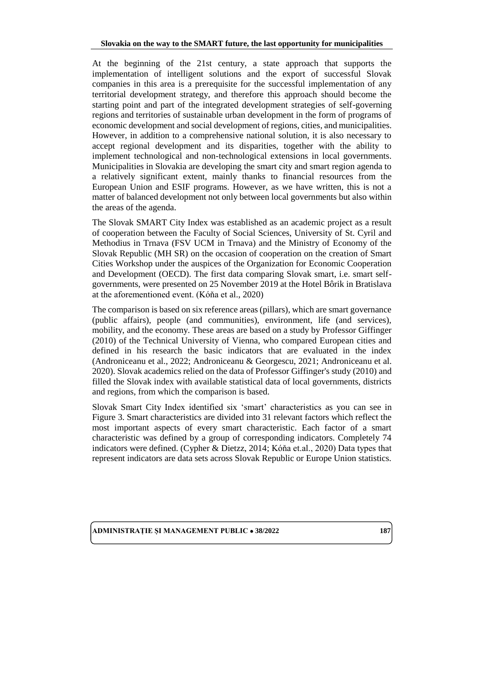At the beginning of the 21st century, a state approach that supports the implementation of intelligent solutions and the export of successful Slovak companies in this area is a prerequisite for the successful implementation of any territorial development strategy, and therefore this approach should become the starting point and part of the integrated development strategies of self-governing regions and territories of sustainable urban development in the form of programs of economic development and social development of regions, cities, and municipalities. However, in addition to a comprehensive national solution, it is also necessary to accept regional development and its disparities, together with the ability to implement technological and non-technological extensions in local governments. Municipalities in Slovakia are developing the smart city and smart region agenda to a relatively significant extent, mainly thanks to financial resources from the European Union and ESIF programs. However, as we have written, this is not a matter of balanced development not only between local governments but also within the areas of the agenda.

The Slovak SMART City Index was established as an academic project as a result of cooperation between the Faculty of Social Sciences, University of St. Cyril and Methodius in Trnava (FSV UCM in Trnava) and the Ministry of Economy of the Slovak Republic (MH SR) on the occasion of cooperation on the creation of Smart Cities Workshop under the auspices of the Organization for Economic Cooperation and Development (OECD). The first data comparing Slovak smart, i.e. smart selfgovernments, were presented on 25 November 2019 at the Hotel Bôrik in Bratislava at the aforementioned event. (Kóňa et al., 2020)

The comparison is based on six reference areas (pillars), which are smart governance (public affairs), people (and communities), environment, life (and services), mobility, and the economy. These areas are based on a study by Professor Giffinger (2010) of the Technical University of Vienna, who compared European cities and defined in his research the basic indicators that are evaluated in the index (Androniceanu et al., 2022; Androniceanu & Georgescu, 2021; Androniceanu et al. 2020). Slovak academics relied on the data of Professor Giffinger's study (2010) and filled the Slovak index with available statistical data of local governments, districts and regions, from which the comparison is based.

Slovak Smart City Index identified six 'smart' characteristics as you can see in Figure 3. Smart characteristics are divided into 31 relevant factors which reflect the most important aspects of every smart characteristic. Each factor of a smart characteristic was defined by a group of corresponding indicators. Completely 74 indicators were defined. (Cypher & Dietzz, 2014; Kóňa et.al., 2020) Data types that represent indicators are data sets across Slovak Republic or Europe Union statistics.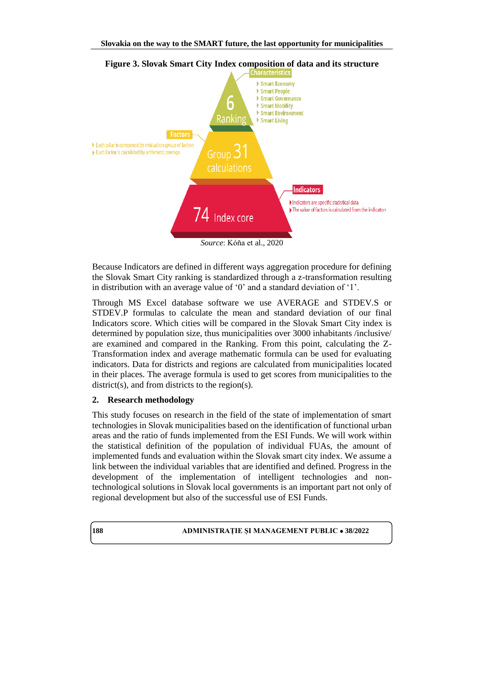

**Figure 3. Slovak Smart City Index composition of data and its structure**

*Source*: Kóňa et al., 2020

Because Indicators are defined in different ways aggregation procedure for defining the Slovak Smart City ranking is standardized through a z-transformation resulting in distribution with an average value of '0' and a standard deviation of '1'.

Through MS Excel database software we use AVERAGE and STDEV.S or STDEV.P formulas to calculate the mean and standard deviation of our final Indicators score. Which cities will be compared in the Slovak Smart City index is determined by population size, thus municipalities over 3000 inhabitants /inclusive/ are examined and compared in the Ranking. From this point, calculating the Z-Transformation index and average mathematic formula can be used for evaluating indicators. Data for districts and regions are calculated from municipalities located in their places. The average formula is used to get scores from municipalities to the district(s), and from districts to the region(s).

#### **2. Research methodology**

This study focuses on research in the field of the state of implementation of smart technologies in Slovak municipalities based on the identification of functional urban areas and the ratio of funds implemented from the ESI Funds. We will work within the statistical definition of the population of individual FUAs, the amount of implemented funds and evaluation within the Slovak smart city index. We assume a link between the individual variables that are identified and defined. Progress in the development of the implementation of intelligent technologies and nontechnological solutions in Slovak local governments is an important part not only of regional development but also of the successful use of ESI Funds.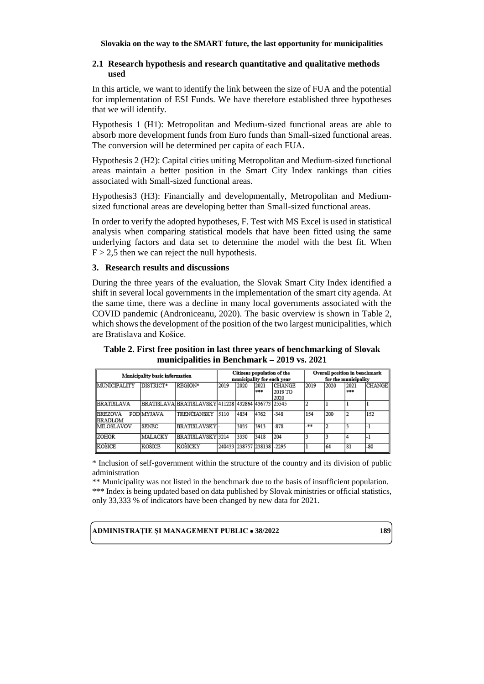#### **2.1 Research hypothesis and research quantitative and qualitative methods used**

In this article, we want to identify the link between the size of FUA and the potential for implementation of ESI Funds. We have therefore established three hypotheses that we will identify.

Hypothesis 1 (H1): Metropolitan and Medium-sized functional areas are able to absorb more development funds from Euro funds than Small-sized functional areas. The conversion will be determined per capita of each FUA.

Hypothesis 2 (H2): Capital cities uniting Metropolitan and Medium-sized functional areas maintain a better position in the Smart City Index rankings than cities associated with Small-sized functional areas.

Hypothesis3 (H3): Financially and developmentally, Metropolitan and Mediumsized functional areas are developing better than Small-sized functional areas.

In order to verify the adopted hypotheses, F. Test with MS Excel is used in statistical analysis when comparing statistical models that have been fitted using the same underlying factors and data set to determine the model with the best fit. When  $F > 2.5$  then we can reject the null hypothesis.

#### **3. Research results and discussions**

During the three years of the evaluation, the Slovak Smart City Index identified a shift in several local governments in the implementation of the smart city agenda. At the same time, there was a decline in many local governments associated with the COVID pandemic (Androniceanu, 2020). The basic overview is shown in Table 2, which shows the development of the position of the two largest municipalities, which are Bratislava and Košice.

**Table 2. First free position in last three years of benchmarking of Slovak municipalities in Benchmark – 2019 vs. 2021**

|                                    | Municipality basic information |                                                         |      |                            |             | Citizens population of the<br>municipality for each year |      | Overall position in benchmark<br>for the municipality |                 |        |
|------------------------------------|--------------------------------|---------------------------------------------------------|------|----------------------------|-------------|----------------------------------------------------------|------|-------------------------------------------------------|-----------------|--------|
| MUNICIPALITY                       | DISTRICT*                      | REGION*                                                 | 2019 | 2020                       | 2021<br>*** | <b>CHANGE</b><br>12019 TO<br>2020                        | 2019 | 2020                                                  | 2021<br>$* * *$ | CHANGE |
| <b>IBRATISLAVA</b>                 |                                | BRATISLAVA  BRATISLAVSKÝ  411228  432864  436773  25545 |      |                            |             |                                                          |      |                                                       |                 |        |
| <b>IBREZOVA</b><br><b>IBRADLOM</b> | POD MYJAVA                     | TRENCLANSKY                                             | 5110 | 4834                       | 4762        | $-348$                                                   | 154  | 200                                                   |                 | 152    |
| MILOSLAVOV                         | <b>SENEC</b>                   | BRATISLAVSKY-                                           |      | 3035                       | 3913        | $-878$                                                   | _**  |                                                       |                 |        |
| <b>ZOHOR</b>                       | MALACKY                        | BRATISLAVSKÝ 3214                                       |      | 3330                       | 3418        | 204                                                      |      |                                                       |                 |        |
| KOŚICE                             | KOŚICE                         | KOŚICKÝ                                                 |      | 240433 238757 238138 -2295 |             |                                                          |      | 64                                                    | 181             | $-80$  |

\* Inclusion of self-government within the structure of the country and its division of public administration

\*\* Municipality was not listed in the benchmark due to the basis of insufficient population. \*\*\* Index is being updated based on data published by Slovak ministries or official statistics, only 33,333 % of indicators have been changed by new data for 2021.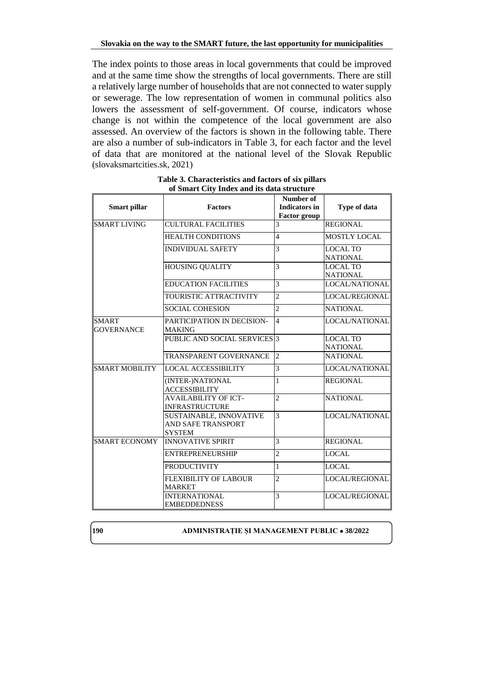The index points to those areas in local governments that could be improved and at the same time show the strengths of local governments. There are still a relatively large number of households that are not connected to water supply or sewerage. The low representation of women in communal politics also lowers the assessment of self-government. Of course, indicators whose change is not within the competence of the local government are also assessed. An overview of the factors is shown in the following table. There are also a number of sub-indicators in Table 3, for each factor and the level of data that are monitored at the national level of the Slovak Republic (slovaksmartcities.sk, 2021)

| <b>Smart pillar</b>               | <b>Factors</b>                                                 | Number of<br><b>Indicators in</b><br><b>Factor group</b> | <b>Type of data</b>                |
|-----------------------------------|----------------------------------------------------------------|----------------------------------------------------------|------------------------------------|
| <b>SMART LIVING</b>               | <b>CULTURAL FACILITIES</b>                                     | 3                                                        | <b>REGIONAL</b>                    |
|                                   | <b>HEALTH CONDITIONS</b>                                       | $\overline{4}$                                           | <b>MOSTLY LOCAL</b>                |
|                                   | <b>INDIVIDUAL SAFETY</b>                                       | 3                                                        | <b>LOCAL TO</b><br><b>NATIONAL</b> |
|                                   | <b>HOUSING QUALITY</b>                                         | 3                                                        | <b>LOCAL TO</b><br><b>NATIONAL</b> |
|                                   | <b>EDUCATION FACILITIES</b>                                    | 3                                                        | LOCAL/NATIONAL                     |
|                                   | TOURISTIC ATTRACTIVITY                                         | $\overline{c}$                                           | <b>LOCAL/REGIONAL</b>              |
|                                   | <b>SOCIAL COHESION</b>                                         | $\overline{c}$                                           | <b>NATIONAL</b>                    |
| <b>SMART</b><br><b>GOVERNANCE</b> | PARTICIPATION IN DECISION-<br><b>MAKING</b>                    | $\overline{4}$                                           | LOCAL/NATIONAL                     |
|                                   | PUBLIC AND SOCIAL SERVICES 3                                   |                                                          | <b>LOCAL TO</b><br><b>NATIONAL</b> |
|                                   | <b>TRANSPARENT GOVERNANCE</b>                                  | $\overline{2}$                                           | <b>NATIONAL</b>                    |
| <b>SMART MOBILITY</b>             | <b>LOCAL ACCESSIBILITY</b>                                     | 3                                                        | LOCAL/NATIONAL                     |
|                                   | (INTER-)NATIONAL<br><b>ACCESSIBILITY</b>                       | $\mathbf{1}$                                             | <b>REGIONAL</b>                    |
|                                   | <b>AVAILABILITY OF ICT-</b><br><b>INFRASTRUCTURE</b>           | $\overline{2}$                                           | <b>NATIONAL</b>                    |
|                                   | SUSTAINABLE, INNOVATIVE<br>AND SAFE TRANSPORT<br><b>SYSTEM</b> | 3                                                        | LOCAL/NATIONAL                     |
| <b>SMART ECONOMY</b>              | <b>INNOVATIVE SPIRIT</b>                                       | 3                                                        | <b>REGIONAL</b>                    |
|                                   | <b>ENTREPRENEURSHIP</b>                                        | $\overline{c}$                                           | <b>LOCAL</b>                       |
|                                   | <b>PRODUCTIVITY</b>                                            | 1                                                        | <b>LOCAL</b>                       |
|                                   | FLEXIBILITY OF LABOUR<br><b>MARKET</b>                         | $\overline{c}$                                           | <b>LOCAL/REGIONAL</b>              |
|                                   | <b>INTERNATIONAL</b><br><b>EMBEDDEDNESS</b>                    | 3                                                        | <b>LOCAL/REGIONAL</b>              |

**Table 3. Characteristics and factors of six pillars of Smart City Index and its data structure**

**190 ADMINISTRAȚIE ȘI MANAGEMENT PUBLIC**  $\bullet$  **38/2022**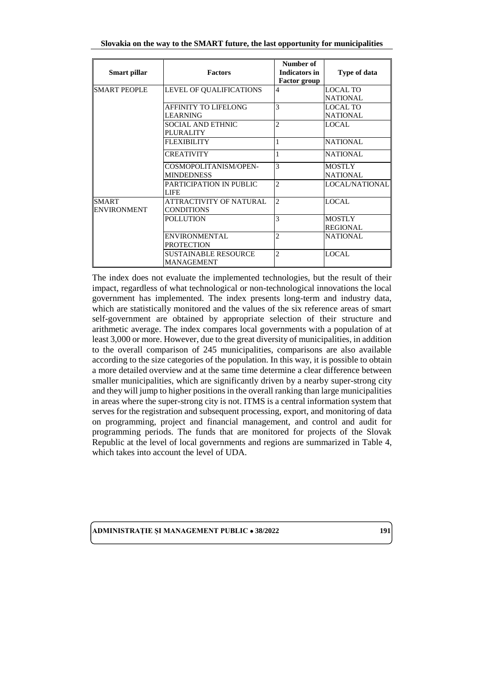| Slovakia on the way to the SMART future, the last opportunity for municipalities |
|----------------------------------------------------------------------------------|
|----------------------------------------------------------------------------------|

| Smart pillar                       | <b>Factors</b>                                   | Number of<br>Indicators in<br><b>Factor group</b> | Type of data                       |
|------------------------------------|--------------------------------------------------|---------------------------------------------------|------------------------------------|
| SMART PEOPLE                       | LEVEL OF QUALIFICATIONS                          | 4                                                 | <b>LOCAL TO</b><br><b>NATIONAL</b> |
|                                    | <b>AFFINITY TO LIFELONG</b><br><b>LEARNING</b>   | 3                                                 | LOCAL TO<br><b>NATIONAL</b>        |
|                                    | SOCIAL AND ETHNIC<br><b>PLURALITY</b>            | $\overline{c}$                                    | LOCAL.                             |
|                                    | <b>FLEXIBILITY</b>                               | 1                                                 | <b>NATIONAL</b>                    |
|                                    | <b>CREATIVITY</b>                                |                                                   | <b>NATIONAL</b>                    |
|                                    | COSMOPOLITANISM/OPEN-<br><b>MINDEDNESS</b>       | 3                                                 | <b>MOSTLY</b><br><b>NATIONAL</b>   |
|                                    | PARTICIPATION IN PUBLIC<br><b>LIFE</b>           | 2                                                 | LOCAL/NATIONAL                     |
| <b>SMART</b><br><b>ENVIRONMENT</b> | ATTRACTIVITY OF NATURAL<br><b>CONDITIONS</b>     | $\overline{c}$                                    | LOCAL.                             |
|                                    | <b>POLLUTION</b>                                 | 3                                                 | <b>MOSTLY</b><br><b>REGIONAL</b>   |
|                                    | <b>ENVIRONMENTAL</b><br><b>PROTECTION</b>        | $\overline{c}$                                    | <b>NATIONAL</b>                    |
|                                    | <b>SUSTAINABLE RESOURCE</b><br><b>MANAGEMENT</b> | $\overline{c}$                                    | <b>LOCAL</b>                       |

The index does not evaluate the implemented technologies, but the result of their impact, regardless of what technological or non-technological innovations the local government has implemented. The index presents long-term and industry data, which are statistically monitored and the values of the six reference areas of smart self-government are obtained by appropriate selection of their structure and arithmetic average. The index compares local governments with a population of at least 3,000 or more. However, due to the great diversity of municipalities, in addition to the overall comparison of 245 municipalities, comparisons are also available according to the size categories of the population. In this way, it is possible to obtain a more detailed overview and at the same time determine a clear difference between smaller municipalities, which are significantly driven by a nearby super-strong city and they will jump to higher positions in the overall ranking than large municipalities in areas where the super-strong city is not. ITMS is a central information system that serves for the registration and subsequent processing, export, and monitoring of data on programming, project and financial management, and control and audit for programming periods. The funds that are monitored for projects of the Slovak Republic at the level of local governments and regions are summarized in Table 4, which takes into account the level of UDA.

**ADMINISTRATIE SI MANAGEMENT PUBLIC**  $\bullet$  **38/2022** 191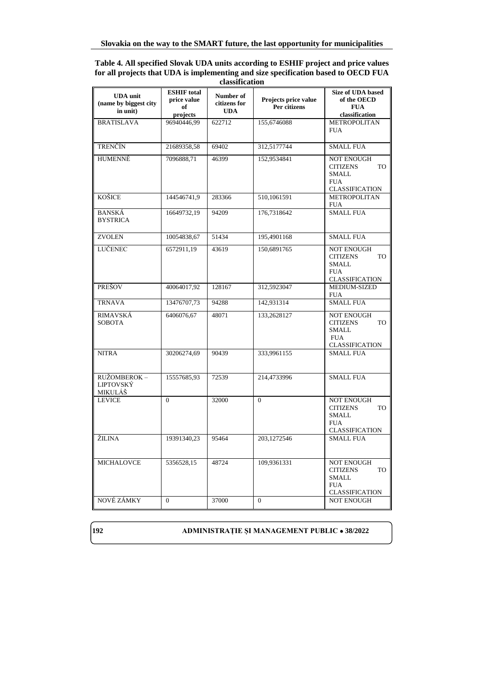#### **Table 4. All specified Slovak UDA units according to ESHIF project and price values for all projects that UDA is implementing and size specification based to OECD FUA classification**

|                                          | <b>ESHIF</b> total |                           |                      | <b>Size of UDA based</b>                          |
|------------------------------------------|--------------------|---------------------------|----------------------|---------------------------------------------------|
| <b>UDA</b> unit<br>(name by biggest city | price value        | Number of<br>citizens for | Projects price value | of the OECD                                       |
| in unit)                                 | of<br>projects     | <b>UDA</b>                | Per citizens         | <b>FUA</b><br>classification                      |
| <b>BRATISLAVA</b>                        | 96940446,99        | 622712                    | 155,6746088          | <b>METROPOLITAN</b>                               |
|                                          |                    |                           |                      | <b>FUA</b>                                        |
| <b>TRENČÍN</b>                           | 21689358,58        | 69402                     | 312,5177744          | <b>SMALL FUA</b>                                  |
| <b>HUMENNÉ</b>                           | 7096888,71         | 46399                     | 152,9534841          | <b>NOT ENOUGH</b><br><b>TO</b><br><b>CITIZENS</b> |
|                                          |                    |                           |                      | <b>SMALL</b>                                      |
|                                          |                    |                           |                      | <b>FUA</b><br><b>CLASSIFICATION</b>               |
| KOŠICE                                   | 144546741,9        | 283366                    | 510,1061591          | METROPOLITAN                                      |
|                                          |                    |                           |                      | <b>FUA</b>                                        |
| <b>BANSKÁ</b><br><b>BYSTRICA</b>         | 16649732,19        | 94209                     | 176,7318642          | <b>SMALL FUA</b>                                  |
| <b>ZVOLEN</b>                            | 10054838,67        | 51434                     | 195,4901168          | <b>SMALL FUA</b>                                  |
| LUČENEC                                  | 6572911,19         | 43619                     | 150,6891765          | <b>NOT ENOUGH</b>                                 |
|                                          |                    |                           |                      | <b>TO</b><br><b>CITIZENS</b><br><b>SMALL</b>      |
|                                          |                    |                           |                      | <b>FUA</b>                                        |
|                                          |                    |                           |                      | <b>CLASSIFICATION</b>                             |
| PREŠOV                                   | 40064017,92        | 128167                    | 312,5923047          | MEDIUM-SIZED<br><b>FUA</b>                        |
| <b>TRNAVA</b>                            | 13476707,73        | 94288                     | 142,931314           | <b>SMALL FUA</b>                                  |
| RIMAVSKÁ<br><b>SOBOTA</b>                | 6406076.67         | 48071                     | 133.2628127          | <b>NOT ENOUGH</b><br><b>CITIZENS</b><br>TO        |
|                                          |                    |                           |                      | <b>SMALL</b>                                      |
|                                          |                    |                           |                      | <b>FUA</b><br><b>CLASSIFICATION</b>               |
| <b>NITRA</b>                             | 30206274,69        | 90439                     | 333,9961155          | <b>SMALL FUA</b>                                  |
|                                          |                    |                           |                      |                                                   |
| RUŽOMBEROK –                             | 15557685,93        | 72539                     | 214,4733996          | <b>SMALL FUA</b>                                  |
| LIPTOVSKÝ<br>MIKULÁŠ                     |                    |                           |                      |                                                   |
| <b>LEVICE</b>                            | $\theta$           | 32000                     | $\Omega$             | <b>NOT ENOUGH</b>                                 |
|                                          |                    |                           |                      | <b>CITIZENS</b><br><b>TO</b><br><b>SMALL</b>      |
|                                          |                    |                           |                      | <b>FUA</b>                                        |
| ŽILINA                                   | 19391340,23        | 95464                     | 203,1272546          | <b>CLASSIFICATION</b><br><b>SMALL FUA</b>         |
|                                          |                    |                           |                      |                                                   |
| <b>MICHALOVCE</b>                        | 5356528,15         | 48724                     | 109,9361331          | <b>NOT ENOUGH</b>                                 |
|                                          |                    |                           |                      | <b>CITIZENS</b><br>TO<br><b>SMALL</b>             |
|                                          |                    |                           |                      | <b>FUA</b>                                        |
| NOVÉ ZÁMKY                               | $\theta$           | 37000                     | $\theta$             | <b>CLASSIFICATION</b><br><b>NOT ENOUGH</b>        |
|                                          |                    |                           |                      |                                                   |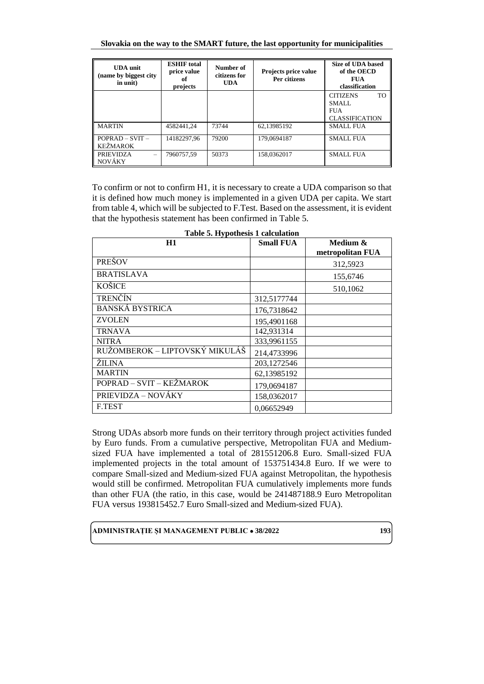**Slovakia on the way to the SMART future, the last opportunity for municipalities**

| <b>UDA</b> unit<br>(name by biggest city)<br>in unit) | <b>ESHIF</b> total<br>price value<br>of<br>projects | Number of<br>citizens for<br><b>UDA</b> | Projects price value<br>Per citizens | <b>Size of UDA based</b><br>of the OECD<br><b>FUA</b><br>classification           |
|-------------------------------------------------------|-----------------------------------------------------|-----------------------------------------|--------------------------------------|-----------------------------------------------------------------------------------|
|                                                       |                                                     |                                         |                                      | T <sub>O</sub><br><b>CITIZENS</b><br>SMALL<br><b>FUA</b><br><b>CLASSIFICATION</b> |
| <b>MARTIN</b>                                         | 4582441.24                                          | 73744                                   | 62,13985192                          | <b>SMALL FUA</b>                                                                  |
| $POPRAD - SVIT -$<br><b>KEŽMAROK</b>                  | 14182297.96                                         | 79200                                   | 179,0694187                          | <b>SMALL FUA</b>                                                                  |
| <b>PRIEVIDZA</b><br>NOVÁKY                            | 7960757.59                                          | 50373                                   | 158.0362017                          | <b>SMALL FUA</b>                                                                  |

To confirm or not to confirm H1, it is necessary to create a UDA comparison so that it is defined how much money is implemented in a given UDA per capita. We start from table 4, which will be subjected to F.Test. Based on the assessment, it is evident that the hypothesis statement has been confirmed in Table 5.

| Table 5. Hypothesis 1 calculation<br>H1 | <b>Small FUA</b> | Medium &         |
|-----------------------------------------|------------------|------------------|
|                                         |                  | metropolitan FUA |
| <b>PRESOV</b>                           |                  | 312,5923         |
| <b>BRATISLAVA</b>                       |                  | 155,6746         |
| <b>KOŚICE</b>                           |                  | 510,1062         |
| <b>TRENČÍN</b>                          | 312,5177744      |                  |
| <b>BANSKÁ BYSTRICA</b>                  | 176,7318642      |                  |
| <b>ZVOLEN</b>                           | 195,4901168      |                  |
| <b>TRNAVA</b>                           | 142,931314       |                  |
| <b>NITRA</b>                            | 333,9961155      |                  |
| RUŽOMBEROK – LIPTOVSKÝ MIKULÁŠ          | 214,4733996      |                  |
| ŽILINA                                  | 203,1272546      |                  |
| <b>MARTIN</b>                           | 62,13985192      |                  |
| POPRAD - SVIT - KEŽMAROK                | 179,0694187      |                  |
| PRIEVIDZA – NOVÁKY                      | 158,0362017      |                  |
| F.TEST                                  | 0,06652949       |                  |

**Table 5. Hypothesis 1 calculation**

Strong UDAs absorb more funds on their territory through project activities funded by Euro funds. From a cumulative perspective, Metropolitan FUA and Mediumsized FUA have implemented a total of 281551206.8 Euro. Small-sized FUA implemented projects in the total amount of 153751434.8 Euro. If we were to compare Small-sized and Medium-sized FUA against Metropolitan, the hypothesis would still be confirmed. Metropolitan FUA cumulatively implements more funds than other FUA (the ratio, in this case, would be 241487188.9 Euro Metropolitan FUA versus 193815452.7 Euro Small-sized and Medium-sized FUA).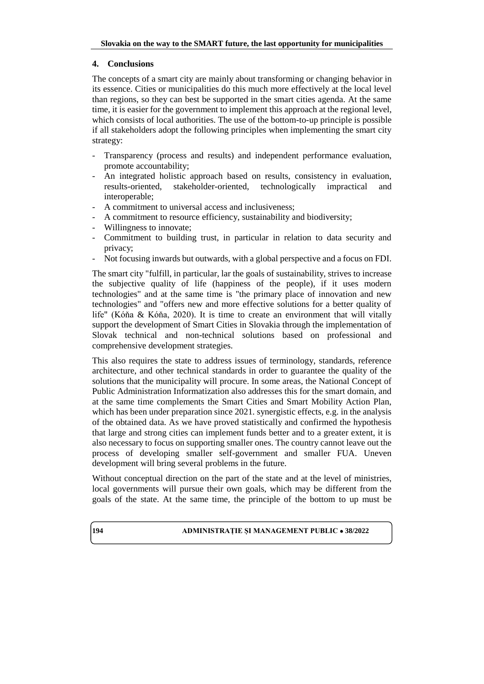# **4. Conclusions**

The concepts of a smart city are mainly about transforming or changing behavior in its essence. Cities or municipalities do this much more effectively at the local level than regions, so they can best be supported in the smart cities agenda. At the same time, it is easier for the government to implement this approach at the regional level, which consists of local authorities. The use of the bottom-to-up principle is possible if all stakeholders adopt the following principles when implementing the smart city strategy:

- Transparency (process and results) and independent performance evaluation, promote accountability;
- An integrated holistic approach based on results, consistency in evaluation, results-oriented, stakeholder-oriented, technologically impractical and interoperable;
- A commitment to universal access and inclusiveness;
- A commitment to resource efficiency, sustainability and biodiversity;
- Willingness to innovate;
- Commitment to building trust, in particular in relation to data security and privacy;
- Not focusing inwards but outwards, with a global perspective and a focus on FDI.

The smart city "fulfill, in particular, lar the goals of sustainability, strives to increase the subjective quality of life (happiness of the people), if it uses modern technologies" and at the same time is "the primary place of innovation and new technologies" and "offers new and more effective solutions for a better quality of life" (Kóňa & Kóňa, 2020). It is time to create an environment that will vitally support the development of Smart Cities in Slovakia through the implementation of Slovak technical and non-technical solutions based on professional and comprehensive development strategies.

This also requires the state to address issues of terminology, standards, reference architecture, and other technical standards in order to guarantee the quality of the solutions that the municipality will procure. In some areas, the National Concept of Public Administration Informatization also addresses this for the smart domain, and at the same time complements the Smart Cities and Smart Mobility Action Plan, which has been under preparation since 2021. synergistic effects, e.g. in the analysis of the obtained data. As we have proved statistically and confirmed the hypothesis that large and strong cities can implement funds better and to a greater extent, it is also necessary to focus on supporting smaller ones. The country cannot leave out the process of developing smaller self-government and smaller FUA. Uneven development will bring several problems in the future.

Without conceptual direction on the part of the state and at the level of ministries, local governments will pursue their own goals, which may be different from the goals of the state. At the same time, the principle of the bottom to up must be

# **194 ADMINISTRATIE ȘI MANAGEMENT PUBLIC**  $\bullet$  **38/2022**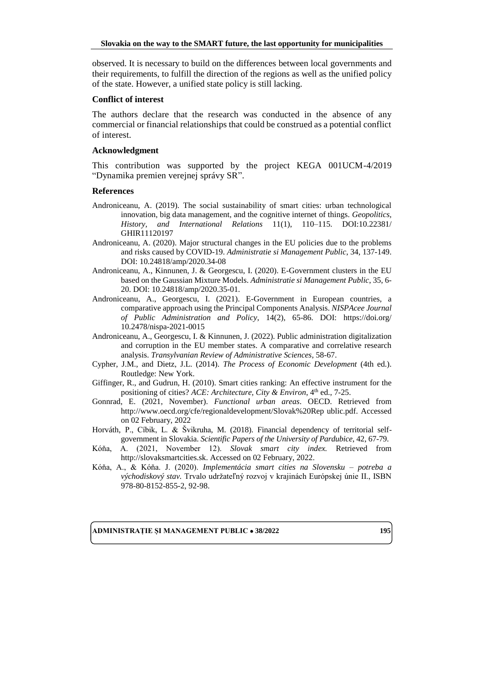observed. It is necessary to build on the differences between local governments and their requirements, to fulfill the direction of the regions as well as the unified policy of the state. However, a unified state policy is still lacking.

#### **Conflict of interest**

The authors declare that the research was conducted in the absence of any commercial or financial relationships that could be construed as a potential conflict of interest.

#### **Acknowledgment**

This contribution was supported by the project KEGA 001UCM-4/2019 "Dynamika premien verejnej správy SR".

#### **References**

- Androniceanu, A. (2019). The social sustainability of smart cities: urban technological innovation, big data management, and the cognitive internet of things. *Geopolitics, History, and International Relations* 11(1), 110–115. DOI:10.22381/ GHIR11120197
- Androniceanu, A. (2020). Major structural changes in the EU policies due to the problems and risks caused by COVID-19. *Administratie si Management Public*, 34, 137-149. DOI: 10.24818/amp/2020.34-08
- Androniceanu, A., Kinnunen, J. & Georgescu, I. (2020). E-Government clusters in the EU based on the Gaussian Mixture Models. *Administratie si Management Public*, 35, 6- 20. DOI: 10.24818/amp/2020.35-01.
- Androniceanu, A., Georgescu, I. (2021). E-Government in European countries, a comparative approach using the Principal Components Analysis. *NISPAcee Journal of Public Administration and Policy*, 14(2), 65-86. DOI: [https://doi.org/](https://doi.org/10.2478/nispa-2021-0015) [10.2478/nispa-2021-0015](https://doi.org/10.2478/nispa-2021-0015)
- Androniceanu, A., Georgescu, I. & Kinnunen, J. (2022). Public administration digitalization and corruption in the EU member states. A comparative and correlative research analysis. *Transylvanian Review of Administrative Sciences*, 58-67.
- Cypher, J.M., and Dietz, J.L. (2014). *The Process of Economic Development* (4th ed.). Routledge: New York.
- Giffinger, R., and Gudrun, H. (2010). Smart cities ranking: An effective instrument for the positioning of cities? *ACE: Architecture, City & Environ*, 4<sup>th</sup> ed., 7-25.
- Gonnrad, E. (2021, November). *Functional urban areas*. OECD. Retrieved from http://www.oecd.org/cfe/regionaldevelopment/Slovak%20Rep ublic.pdf. Accessed on 02 February, 2022
- Horváth, P., Cíbik, L. & Švikruha, M. (2018). Financial dependency of territorial selfgovernment in Slovakia. *Scientific Papers of the University of Pardubice*, 42, 67-79.
- Kóňa, A. (2021, November 12). *Slovak smart city index.* Retrieved from http://slovaksmartcities.sk. Accessed on 02 February, 2022.
- Kóňa, A., & Kóňa. J. (2020). *Implementácia smart cities na Slovensku – potreba a východiskový stav.* Trvalo udržateľný rozvoj v krajinách Európskej únie II., ISBN 978-80-8152-855-2, 92-98.